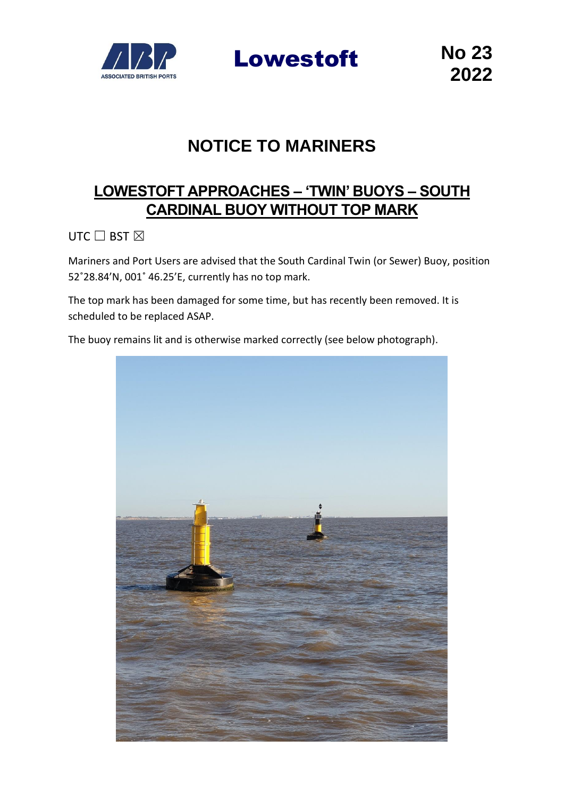

Lowestoft **No 23**

## **NOTICE TO MARINERS**

## **LOWESTOFT APPROACHES – 'TWIN' BUOYS – SOUTH CARDINAL BUOY WITHOUT TOP MARK**

UTC  $\Box$  BST  $\boxtimes$ 

Mariners and Port Users are advised that the South Cardinal Twin (or Sewer) Buoy, position 52˚28.84'N, 001˚ 46.25'E, currently has no top mark.

The top mark has been damaged for some time, but has recently been removed. It is scheduled to be replaced ASAP.

The buoy remains lit and is otherwise marked correctly (see below photograph).